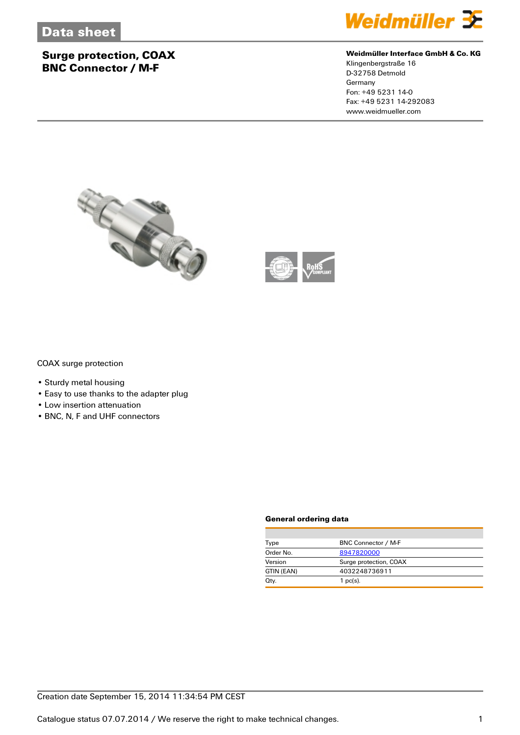## **Surge protection, COAX BNC Connector / M-F**



#### **Weidmüller Interface GmbH & Co. KG**

Klingenbergstraße 16 D-32758 Detmold Germany Fon: +49 5231 14-0 Fax: +49 5231 14-292083 www.weidmueller.com





COAX surge protection

- Sturdy metal housing
- Easy to use thanks to the adapter plug
- Low insertion attenuation
- BNC, N, F and UHF connectors

#### **General ordering data**

| Type       | BNC Connector / M-F    |
|------------|------------------------|
| Order No.  | 8947820000             |
| Version    | Surge protection, COAX |
| GTIN (EAN) | 4032248736911          |
| Qty.       | 1 $pc(s)$ .            |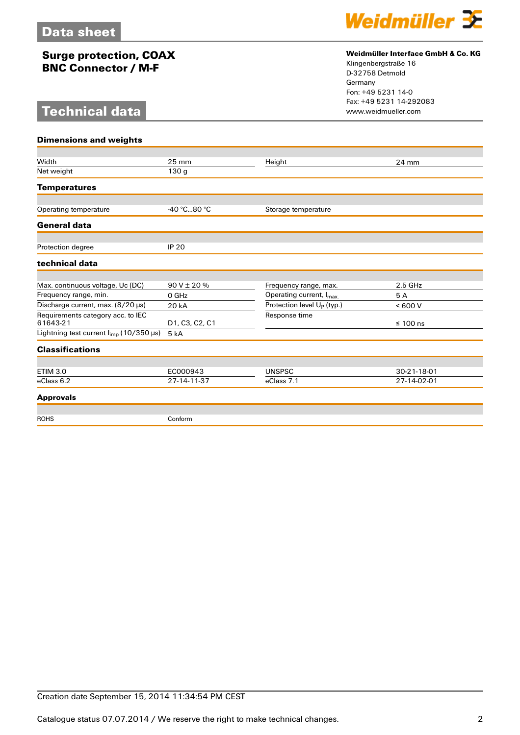## **Surge protection, COAX BNC Connector / M-F**

## **Technical data**



#### **Weidmüller Interface GmbH & Co. KG**

Klingenbergstraße 16 D-32758 Detmold Germany Fon: +49 5231 14-0 Fax: +49 5231 14-292083

| <b>Dimensions and weights</b>                       |                  |                                        |               |
|-----------------------------------------------------|------------------|----------------------------------------|---------------|
|                                                     |                  |                                        |               |
| Width                                               | $25 \text{ mm}$  | Height                                 | 24 mm         |
| Net weight                                          | 130 <sub>q</sub> |                                        |               |
| <b>Temperatures</b>                                 |                  |                                        |               |
| Operating temperature                               | -40 °C80 °C      | Storage temperature                    |               |
| <b>General data</b>                                 |                  |                                        |               |
|                                                     |                  |                                        |               |
| Protection degree                                   | <b>IP 20</b>     |                                        |               |
| technical data                                      |                  |                                        |               |
|                                                     |                  |                                        |               |
| Max. continuous voltage, Uc (DC)                    | $90V \pm 20%$    | Frequency range, max.                  | $2.5$ GHz     |
| Frequency range, min.                               | 0 GHz            | Operating current, I <sub>max.</sub>   | 5A            |
| Discharge current, max. (8/20 µs)                   | 20 kA            | Protection level U <sub>P</sub> (typ.) | < 600 V       |
| Requirements category acc. to IEC                   |                  | Response time                          |               |
| 61643-21                                            | D1, C3, C2, C1   |                                        | $\leq 100$ ns |
| Lightning test current $I_{\text{imp}}$ (10/350 µs) | 5 <sub>kA</sub>  |                                        |               |
| <b>Classifications</b>                              |                  |                                        |               |
|                                                     |                  |                                        |               |
| <b>ETIM 3.0</b>                                     | EC000943         | <b>UNSPSC</b>                          | 30-21-18-01   |
| eClass 6.2                                          | 27-14-11-37      | eClass 7.1                             | 27-14-02-01   |
| <b>Approvals</b>                                    |                  |                                        |               |
| <b>ROHS</b>                                         | Conform          |                                        |               |
|                                                     |                  |                                        |               |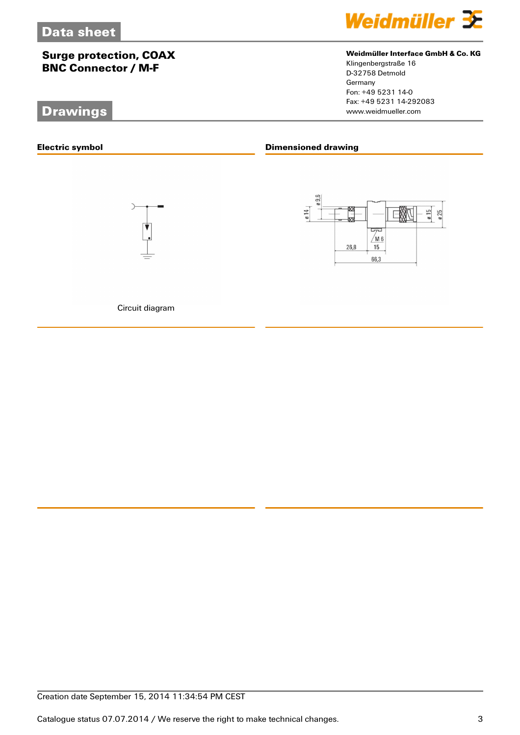## **Surge protection, COAX BNC Connector / M-F**

## **Drawings**

**Electric symbol**





Circuit diagram



#### **Weidmüller Interface GmbH & Co. KG**

Klingenbergstraße 16 D-32758 Detmold Germany Fon: +49 5231 14-0 Fax: +49 5231 14-292083

### **Dimensioned drawing**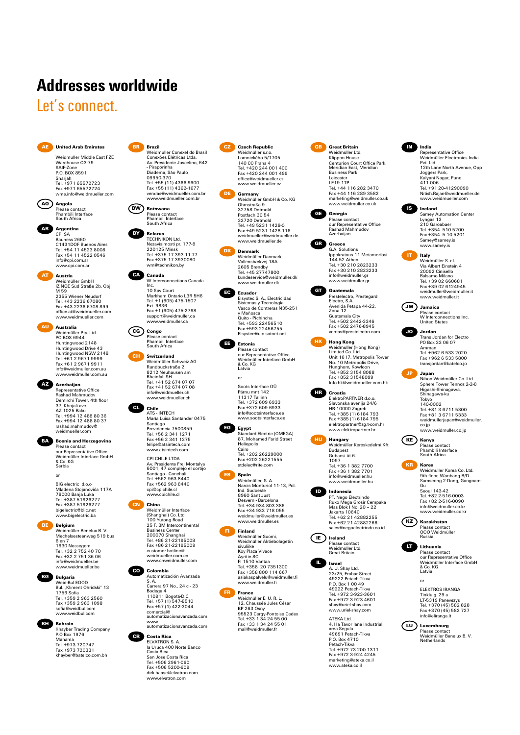# **Addresses worldwide**

# Let's connect.



Weidmuller Middle East FZE Warehouse 03-79 SAIF-Zone P.O. BOX 8591 Sharjah Tel. +971 65572723 Fax +971 65572724 wme.info@weidmueller.com

**AO Angola** Please contact Phambili Interface South Africa

**AR Argentina** CPI SA

Bauness 2660<br>C1431DOE Buenos Aires C1431DOF Buenos Aires Tel. +54 11 4523 8008 Fax +54 11 4522 0546 info@cpi.com.ar www.cpi.com.a

**AT Austria** Weidmüller GmbH IZ NOE Süd Straße 2b, Obj M 59 2355 Wiener Neudorf Tel. +43 2236 67080 Fax +43 2236 6708-899 office.at@weidmueller.com www.weidmueller.com

> **Australia**<br>Weidmüller Ptv. Ltd. Weidmüller Pty. Ltd. PO BOX 6944 Huntingwood 2148 Huntingwood Drive 43 Huntingwood NSW 2148 Tel. +61 2 9671 9999 Fax +61 2 9671 9911 info@weidmuller.com.au www.weidmuller.com.au

**AZ Azerbaijan** Representative Office Rashad Mahmudov Demirchi Tower, 4th floor 37, Khojali ave. AZ 1025 Baku Tel. +994 12 488 80 36 Fax +994 12 488 80 37 rashad.mahmudov@ weidmueller.com

**BA Bosnia and Herzegovina** Please contact our Representative Office Weidmüller Interface GmbH & Co. KG Serbia

> BIG electric d.o.o Mladena Stojanovića 117A 78000 Banja Luka Tel. +387 51926277 Fax +387 51926277 bigelectric@blic.net www.bigelectric.ba or

**BE Belgium** Weidmüller Benelux B. V. Mechelsesteenweg 519 bus 6 en 7 1930 Nossegem Tel. +32 2 752 40 70 Fax +32 2 751 36 06 info@weidmueller.be www.weidmueller.be



Weid-Bul EOOD<br>Bul. "Kliment Ohridski" 13<br>1756 Sofia<br>Tel. +359 2 963 2560<br>Fax +359 2 963 1098 sofia@weidbul.com

www.weidbul.com



Khayber Trading Company P.O Box 1976 Manama Tel. +973 720747 Fax +973 720331 khayber@batelco.com.bh

**BR Brazil** Weidmuller Conexel do Brasil Conexões Elétricas Ltda. Av. Presidente Juscelino, 642 - Piraporinha - Firaponnira<br>Diadema, São Paulo<br>09950-370 09950-370 Tel. +55 (11) 4366-9600 Fax +55 (11) 4362-1677 vendas@weidmueller.com.br www.weidmueller.com.br



**BY Belarus**<br>**TECHNIKON Ltd** TECHNIKON Ltd. Nezavisimosti pr. 177-9 220125 Minsk Tel. +375 17 393-11-77 Fax +375 17 3930080 wm@technikon.by

**CA Canada** W Interconnections Canada Inc. 10 Spy Court Markham Ontario L3R 5H6 Tel. +1 (905) 475-1507 Ext. 9836 Fax +1 (905) 475-2798 support@weidmuller.ca www.weidmuller.ca

**CG Congo** Please contact Phambili Interface South Africa

**CH Switzerland** Weidmüller Schweiz AG Rundbuckstraße 2 8212 Neuhausen am Rheinfall SH Tel. +41 52 674 07 07 Fax +41 52 674 07 08 info@weidmueller.ch www.weidmueller.ch

**CL Chile** ATS - INTECH María Luisa Santander 0475 Santiago Providencia 7500859 Tel. +56 2 341 1271 Fax +56 2 341 1275 felipe@atsintech.com www.atsintech.com

> CPI CHILE LTDA Av. Presidente Frei Montalva 6001, 47 complejo el cortijo Santiago - Conchali Tel. +562 963 8440 Fax +562 963 8440 cpi@cpichile.cl www.cpichile.cl



**CN China** Weidmüller Interface (Shanghai) Co. Ltd. 100 Yutong Road 25 F, BM Intercontinental Business Center 200070 Shanghai Tel. +86 21-22195008 Fax +86 21-22195009 customer.hotline@ weidmueller.com.cn www.cnweidmuller.com

**CO Colombia** Automatización Avanzada S. A. Carrera 97 No., 24 c - 23 Bodega 4 110911 Bogotá-D.C. Tel. +57 (1) 547-8510 Fax +57 (1) 422-3044 comercial@ automatizacionavanzada.com www. automatizacionavanzada.com

**CR Costa Rica**<br>
ELVATRON S. A.<br>
la Uruca 400 Norte Banco<br>
Costa Rica<br>
San Jose Costa Rica Tel. +506 2961-060 Fax +506 5200-609 dirk.haase@elvatron.com

www.elvatron.com

**CZ Czech Republic** Weidmüller s.r.o. Lomnického 5/1705 140 00 Praha 4 Tel. +420 244 001 400 Fax +420 244 001 499 office@weidmueller.cz www.weidmueller.cz

**DE Germany** Weidmüller GmbH & Co. KG Ohmstraße 9 32758 Detmold<br>Postfach 30.54 Postfach 30 54 32720 Detmold Tel. +49 5231 1428-0 Fax +49 5231 1428-116 weidmueller@weidmueller.de www.weidmueller.de

> **DK Denmark** Weidmüller Danmark Vallensbækvej 18A 2605 Brøndby Tel. +45 27747800 kundeservice@weidmuller.dk www.weidmuller.dk

**EC Ecuador** Elsystec S. A., Electricidad Sistemas y Tecnología Vasco de Contreras N35-251 y Mañosca Quito - Pichincha Tel. +593 22456510 Fax +593 22456755 Elsystec@uio.satnet.net

**EE Estonia** Please contact our Representative Office Weidmüller Interface GmbH & Co. KG Latvia

> Soots Interface OÜ Pärnu mnt 142 11317 Tallinn Tel. +372 609 6933 Fax +372 609 6933 info@sootsinterface.ee www.sootsinterface.ee

or

**EG Egypt** Standard Electric (OMEGA) 87, Mohamed Farid Street Heliopolis Cairo Tel. +202 26229000 Fax +202 26221555 stdelec@rite.com<br>rite.com

**ES Spain** Weidmüller, S. A. Narcis Monturiol 11-13, Pol. Ind. Sudoeste 8960 Sant Just Desvern - Barcelona Tel. +34 934 803 386 Fax +34 933 718 055 weidmuller@weidmuller.es



**FR France**<br>
Weidmüller E. U. R. L.<br>
12, Chaussée Jules César<br>
BP 263 Osny<br>
95523 Cergy-Pontoise Cedex<br>
Tel. +33 1 34 24 55 00 Fax +33 1 34 24 55 01 ن ۲–۲ سال<br>محمد السعدات



**GB Great Britain** Weidmüller Ltd. Klippon House Centurion Court Office Park, Meridian East, Meridian Business Park Leicester<br>LE19 1TP LE19 1TP Tel. +44 116 282 3470 Fax +44 116 289 3582 marketing@weidmuller.co.uk www.weidmuller.co.uk

**GE Georgia** Please contact our Representative Office Rashad Mahmudov Azerbaijan.

G.A. Solutions Ippokratous 11 Metamorfosi 144 52 Athen Tel. +30 210 2823233

Limited Co. Ltd. Unit 1617, Metropolis Tower No. 10 Metropolis Drive, Hunghom, Kowloon Tel. +852 3154 8088 Fax +852 31548099 Info-hk@weidmueller.com.hk

**GR Greece**



Guatemala City Tel. +502 2442-3346 Fax +502 2476-8945 ventas@prestelectro.com **HK Hong Kong Weidmuller (Hong Kong)**<br>Limited Co. Ltd



**HR Croatia** ElektroPARTNER d.o.o. Slavonska avenija 24/6 HR-10000 Zagreb Tel. +385 (1) 6184 793 Fax +385 (1) 6184 795



Weidmüller Kereskedelmi Kft. Budapest Gubacsi út 6. 1097 Tel. +36 1 382 7700 Fax +36 1 382 7701 info@weidmueller.hu www.weidmueller.hu



**ID PT.** Nego Electrindo<br>
Ruko Mega Grosir Cempaka<br>
Mas Blok I No. 20 – 22<br>
Jakarta 10640<br>
Tel. +62 21 42882255<br>
Fax +62 21 42882266 sales@negoelectrindo.co.id **IE Ireland** Please contact Weidmüller Ltd. Great Britain



**IL Israel** A. U. Shay Ltd. 23/25, Embar Street 49222 Petach-Tikva P.O. Box 1 00 49 49222 Petach-Tikva Tel. +972 3-923-3601 Fax +972 3-923-4601 shay@uriel-shay.com www.uriel-shay.com

> ATEKA Ltd.<br>4, Ha Tavor lane Industrial<br>area Segula<br>49691 Petach-Tikva<br>Petach-Tikva<br>Tel. +972 73-200-1311<br>Fax +972 3-924 4245 marketing@ateka.co.il www.ateka.co.il



Representative Office<br>Weidmüller Electronics India Weidmüller Electronics India Pvt. Ltd. 12th Lane North Avenue, Opp Joggers Park, Kalyani Nagar, Pune 411 006 Tel. +91 20-41290090 Nitish.Rajan@weidmueller.de www.weidmueller.com



**IT Italy** Weidmüller S. r.l. Via Albert Einstein 4 20092 Cinisello Balsamo Milano Tel. +39 02 660681 Fax +39 02 6124945 weidmuller@weidmuller.it www.weidmuller.it



**JO Jordan** Trans Jordan for Electro PO Box 33 06 07 Amman Tel. +962 6 533 2020 Fax +962 6 533 5800 transjordan@batelco.jo

**JP Japan** Nihon Weidmüller Co. Ltd. Sphere Tower Tennoz 2-2-8 Higashi-Shinagawa, Shinagawa-ku Tokyo 140-0002 Tel. +81 3 6711 5300 Fax +81 3 6711 5333

**KE Kenya** Please contact Phambili Interface South Africa

**KR Korea** Weidmuller Korea Co. Ltd. 9th floor, Wonbang B/D Samseong 2-Dong, Gangnam-Gu Seoul 143-42



Please contact OOO Weidmüller Russia



ELEKTROS IRANGA Tinklu g. 29 a LT-5319 Panevezys Tel. +370 (45) 582 828 Fax +370 (45) 582 727 info@eliranga.lt or